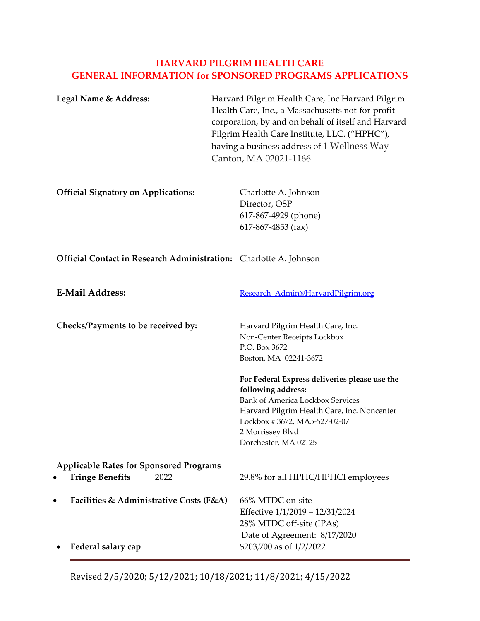# **HARVARD PILGRIM HEALTH CARE GENERAL INFORMATION for SPONSORED PROGRAMS APPLICATIONS**

| Harvard Pilgrim Health Care, Inc Harvard Pilgrim<br>Health Care, Inc., a Massachusetts not-for-profit<br>corporation, by and on behalf of itself and Harvard<br>Pilgrim Health Care Institute, LLC. ("HPHC"),<br>having a business address of 1 Wellness Way<br>Canton, MA 02021-1166                                                                   |
|---------------------------------------------------------------------------------------------------------------------------------------------------------------------------------------------------------------------------------------------------------------------------------------------------------------------------------------------------------|
| Charlotte A. Johnson<br>Director, OSP<br>617-867-4929 (phone)<br>$617-867-4853$ (fax)                                                                                                                                                                                                                                                                   |
| <b>Official Contact in Research Administration:</b> Charlotte A. Johnson                                                                                                                                                                                                                                                                                |
| Research Admin@HarvardPilgrim.org                                                                                                                                                                                                                                                                                                                       |
| Harvard Pilgrim Health Care, Inc.<br>Non-Center Receipts Lockbox<br>P.O. Box 3672<br>Boston, MA 02241-3672<br>For Federal Express deliveries please use the<br>following address:<br><b>Bank of America Lockbox Services</b><br>Harvard Pilgrim Health Care, Inc. Noncenter<br>Lockbox #3672, MA5-527-02-07<br>2 Morrissey Blvd<br>Dorchester, MA 02125 |
| <b>Applicable Rates for Sponsored Programs</b><br>29.8% for all HPHC/HPHCI employees                                                                                                                                                                                                                                                                    |
| Facilities & Administrative Costs (F&A)<br>66% MTDC on-site<br>Effective 1/1/2019 - 12/31/2024<br>28% MTDC off-site (IPAs)<br>Date of Agreement: 8/17/2020<br>\$203,700 as of 1/2/2022                                                                                                                                                                  |
|                                                                                                                                                                                                                                                                                                                                                         |

Revised 2/5/2020; 5/12/2021; 10/18/2021; 11/8/2021; 4/15/2022